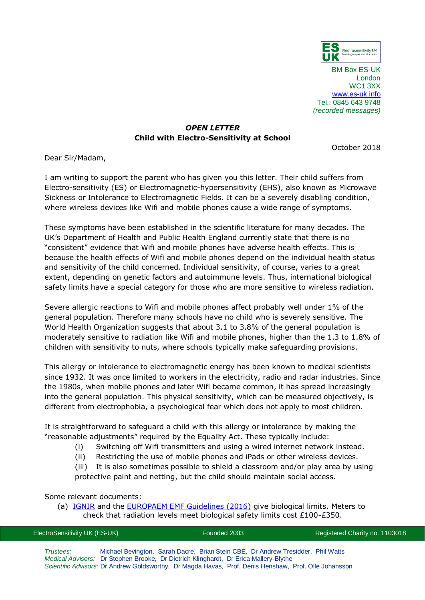

BM Box ES-UK London WC1 3XX [www.es-uk.info](http://www.es-uk.info/) Tel.: 0845 643 9748 *(recorded messages)*

## *OPEN LETTER* **Child with Electro-Sensitivity at School**

October 2018

Dear Sir/Madam,

I am writing to support the parent who has given you this letter. Their child suffers from Electro-sensitivity (ES) or Electromagnetic-hypersensitivity (EHS), also known as Microwave Sickness or Intolerance to Electromagnetic Fields. It can be a severely disabling condition, where wireless devices like Wifi and mobile phones cause a wide range of symptoms.

These symptoms have been established in the scientific literature for many decades. The UK's Department of Health and Public Health England currently state that there is no "consistent" evidence that Wifi and mobile phones have adverse health effects. This is because the health effects of Wifi and mobile phones depend on the individual health status and sensitivity of the child concerned. Individual sensitivity, of course, varies to a great extent, depending on genetic factors and autoimmune levels. Thus, international biological safety limits have a special category for those who are more sensitive to wireless radiation.

Severe allergic reactions to Wifi and mobile phones affect probably well under 1% of the general population. Therefore many schools have no child who is severely sensitive. The World Health Organization suggests that about 3.1 to 3.8% of the general population is moderately sensitive to radiation like Wifi and mobile phones, higher than the 1.3 to 1.8% of children with sensitivity to nuts, where schools typically make safeguarding provisions.

This allergy or intolerance to electromagnetic energy has been known to medical scientists since 1932. It was once limited to workers in the electricity, radio and radar industries. Since the 1980s, when mobile phones and later Wifi became common, it has spread increasingly into the general population. This physical sensitivity, which can be measured objectively, is different from electrophobia, a psychological fear which does not apply to most children.

It is straightforward to safeguard a child with this allergy or intolerance by making the "reasonable adjustments" required by the Equality Act. These typically include:

- (i) Switching off Wifi transmitters and using a wired internet network instead.
- (ii) Restricting the use of mobile phones and iPads or other wireless devices.

(iii) It is also sometimes possible to shield a classroom and/or play area by using protective paint and netting, but the child should maintain social access.

Some relevant documents:

(a) **[IGNIR](https://www.ignir.org/Guidelines)** and the **EUROPAEM EMF Guidelines (2016)** give biological limits. Meters to check that radiation levels meet biological safety limits cost £100-£350.

| ElectroSensitivity UK (ES-UK) |  | Founded 2003  | Registered Charity no. 1103018 |
|-------------------------------|--|---------------|--------------------------------|
|                               |  | _____________ |                                |